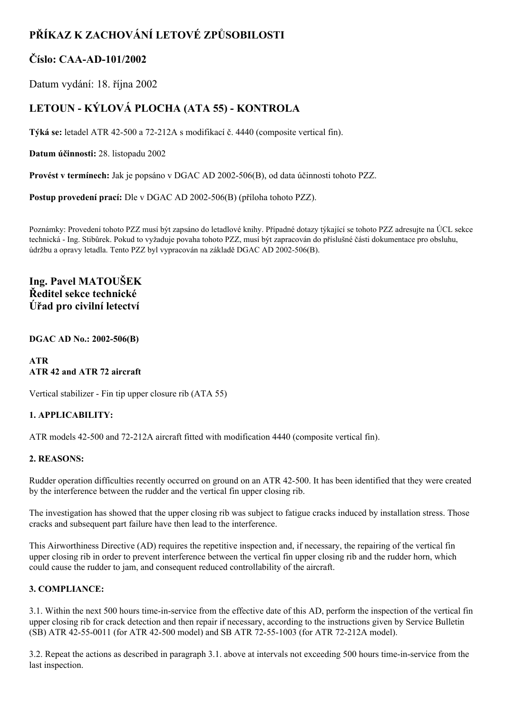# **PŘÍKAZ K ZACHOVÁNÍ LETOVÉ ZPŮSOBILOSTI**

### **Číslo: CAAAD101/2002**

Datum vydání: 18. října 2002

## **LETOUN KÝLOVÁ PLOCHA (ATA 55) KONTROLA**

Týká se: letadel ATR 42-500 a 72-212A s modifikací č. 4440 (composite vertical fin).

**Datum účinnosti:** 28. listopadu 2002

Provést v termínech: Jak je popsáno v DGAC AD 2002-506(B), od data účinnosti tohoto PZZ.

**Postup provedení prací:** Dle v DGAC AD 2002-506(B) (příloha tohoto PZZ).

Poznámky: Provedení tohoto PZZ musí být zapsáno do letadlové knihy. Případné dotazy týkající se tohoto PZZ adresujte na ÚCL sekce technická Ing. Stibůrek. Pokud to vyžaduje povaha tohoto PZZ, musí být zapracován do příslušné části dokumentace pro obsluhu, údržbu a opravy letadla. Tento PZZ byl vypracován na základě DGAC AD 2002-506(B).

**Ing. Pavel MATOUŠEK Ředitel sekce technické Úřad pro civilní letectví**

**DGAC AD No.: 2002506(B)**

#### **ATR ATR 42 and ATR 72 aircraft**

Vertical stabilizer - Fin tip upper closure rib (ATA 55)

#### **1. APPLICABILITY:**

ATR models 42-500 and 72-212A aircraft fitted with modification 4440 (composite vertical fin).

#### **2. REASONS:**

Rudder operation difficulties recently occurred on ground on an ATR 42500. It has been identified that they were created by the interference between the rudder and the vertical fin upper closing rib.

The investigation has showed that the upper closing rib was subject to fatigue cracks induced by installation stress. Those cracks and subsequent part failure have then lead to the interference.

This Airworthiness Directive (AD) requires the repetitive inspection and, if necessary, the repairing of the vertical fin upper closing rib in order to prevent interference between the vertical fin upper closing rib and the rudder horn, which could cause the rudder to jam, and consequent reduced controllability of the aircraft.

#### **3. COMPLIANCE:**

3.1. Within the next 500 hours time-in-service from the effective date of this AD, perform the inspection of the vertical fin upper closing rib for crack detection and then repair if necessary, according to the instructions given by Service Bulletin (SB) ATR 42-55-0011 (for ATR 42-500 model) and SB ATR 72-55-1003 (for ATR 72-212A model).

3.2. Repeat the actions as described in paragraph 3.1. above at intervals not exceeding 500 hours time-in-service from the last inspection.